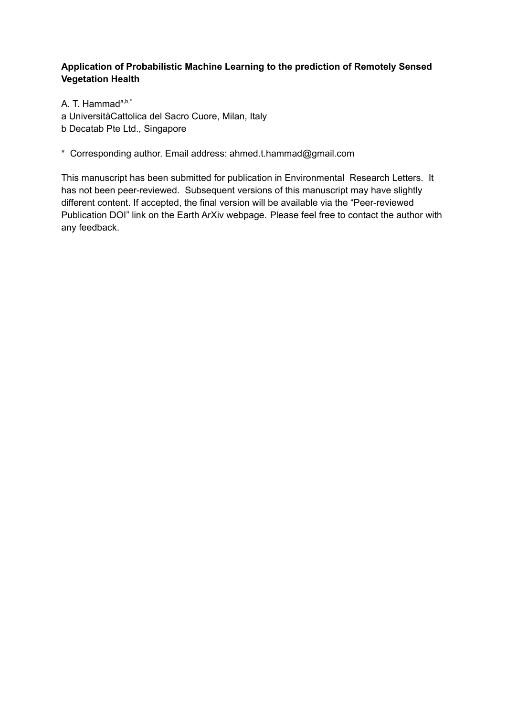# **Application of Probabilistic Machine Learning to the prediction of Remotely Sensed Vegetation Health**

A. T. Hammad<sup>a,b,\*</sup> a UniversitàCattolica del Sacro Cuore, Milan, Italy b Decatab Pte Ltd., Singapore

# \* Corresponding author. Email address: ahmed.t.hammad@gmail.com

This manuscript has been submitted for publication in Environmental Research Letters. It has not been peer-reviewed. Subsequent versions of this manuscript may have slightly different content. If accepted, the final version will be available via the "Peer-reviewed Publication DOI" link on the Earth ArXiv webpage. Please feel free to contact the author with any feedback.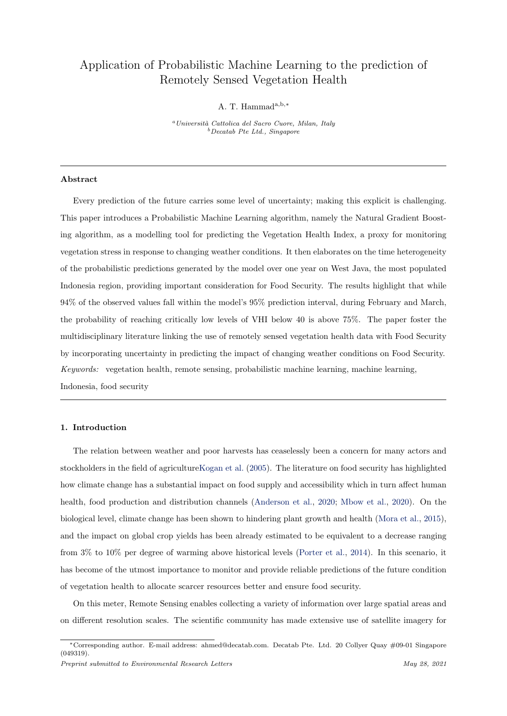# Application of Probabilistic Machine Learning to the prediction of Remotely Sensed Vegetation Health

A. T. Hammada,b,<sup>∗</sup>

<sup>a</sup> Università Cattolica del Sacro Cuore, Milan, Italy  $b$  Decatab Pte Ltd., Singapore

# Abstract

Every prediction of the future carries some level of uncertainty; making this explicit is challenging. This paper introduces a Probabilistic Machine Learning algorithm, namely the Natural Gradient Boosting algorithm, as a modelling tool for predicting the Vegetation Health Index, a proxy for monitoring vegetation stress in response to changing weather conditions. It then elaborates on the time heterogeneity of the probabilistic predictions generated by the model over one year on West Java, the most populated Indonesia region, providing important consideration for Food Security. The results highlight that while 94% of the observed values fall within the model's 95% prediction interval, during February and March, the probability of reaching critically low levels of VHI below 40 is above 75%. The paper foster the multidisciplinary literature linking the use of remotely sensed vegetation health data with Food Security by incorporating uncertainty in predicting the impact of changing weather conditions on Food Security. Keywords: vegetation health, remote sensing, probabilistic machine learning, machine learning, Indonesia, food security

#### 1. Introduction

The relation between weather and poor harvests has ceaselessly been a concern for many actors and stockholders in the field of agricultureKogan et al. (2005). The literature on food security has highlighted how climate change has a substantial impact on food supply and accessibility which in turn affect human health, food production and distribution channels (Anderson et al., 2020; Mbow et al., 2020). On the biological level, climate change has been shown to hindering plant growth and health (Mora et al., 2015), and the impact on global crop yields has been already estimated to be equivalent to a decrease ranging from 3% to 10% per degree of warming above historical levels (Porter et al., 2014). In this scenario, it has become of the utmost importance to monitor and provide reliable predictions of the future condition of vegetation health to allocate scarcer resources better and ensure food security.

On this meter, Remote Sensing enables collecting a variety of information over large spatial areas and on different resolution scales. The scientific community has made extensive use of satellite imagery for

<sup>∗</sup>Corresponding author. E-mail address: ahmed@decatab.com. Decatab Pte. Ltd. 20 Collyer Quay #09-01 Singapore (049319).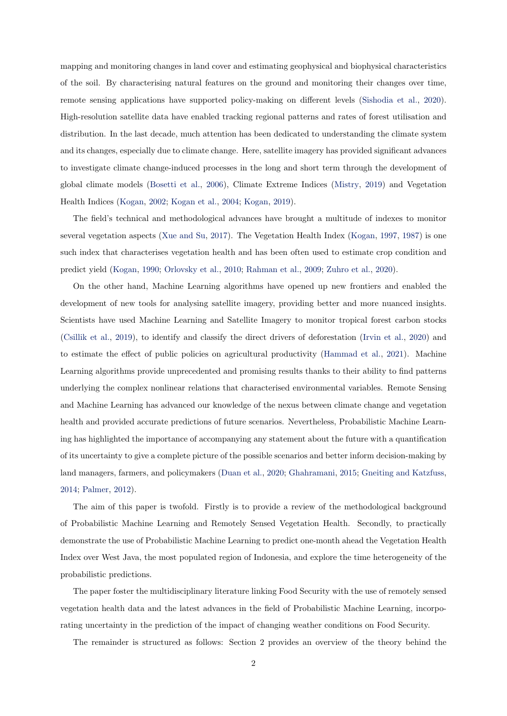mapping and monitoring changes in land cover and estimating geophysical and biophysical characteristics of the soil. By characterising natural features on the ground and monitoring their changes over time, remote sensing applications have supported policy-making on different levels (Sishodia et al., 2020). High-resolution satellite data have enabled tracking regional patterns and rates of forest utilisation and distribution. In the last decade, much attention has been dedicated to understanding the climate system and its changes, especially due to climate change. Here, satellite imagery has provided significant advances to investigate climate change-induced processes in the long and short term through the development of global climate models (Bosetti et al., 2006), Climate Extreme Indices (Mistry, 2019) and Vegetation Health Indices (Kogan, 2002; Kogan et al., 2004; Kogan, 2019).

The field's technical and methodological advances have brought a multitude of indexes to monitor several vegetation aspects (Xue and Su, 2017). The Vegetation Health Index (Kogan, 1997, 1987) is one such index that characterises vegetation health and has been often used to estimate crop condition and predict yield (Kogan, 1990; Orlovsky et al., 2010; Rahman et al., 2009; Zuhro et al., 2020).

On the other hand, Machine Learning algorithms have opened up new frontiers and enabled the development of new tools for analysing satellite imagery, providing better and more nuanced insights. Scientists have used Machine Learning and Satellite Imagery to monitor tropical forest carbon stocks (Csillik et al., 2019), to identify and classify the direct drivers of deforestation (Irvin et al., 2020) and to estimate the effect of public policies on agricultural productivity (Hammad et al., 2021). Machine Learning algorithms provide unprecedented and promising results thanks to their ability to find patterns underlying the complex nonlinear relations that characterised environmental variables. Remote Sensing and Machine Learning has advanced our knowledge of the nexus between climate change and vegetation health and provided accurate predictions of future scenarios. Nevertheless, Probabilistic Machine Learning has highlighted the importance of accompanying any statement about the future with a quantification of its uncertainty to give a complete picture of the possible scenarios and better inform decision-making by land managers, farmers, and policymakers (Duan et al., 2020; Ghahramani, 2015; Gneiting and Katzfuss, 2014; Palmer, 2012).

The aim of this paper is twofold. Firstly is to provide a review of the methodological background of Probabilistic Machine Learning and Remotely Sensed Vegetation Health. Secondly, to practically demonstrate the use of Probabilistic Machine Learning to predict one-month ahead the Vegetation Health Index over West Java, the most populated region of Indonesia, and explore the time heterogeneity of the probabilistic predictions.

The paper foster the multidisciplinary literature linking Food Security with the use of remotely sensed vegetation health data and the latest advances in the field of Probabilistic Machine Learning, incorporating uncertainty in the prediction of the impact of changing weather conditions on Food Security.

The remainder is structured as follows: Section 2 provides an overview of the theory behind the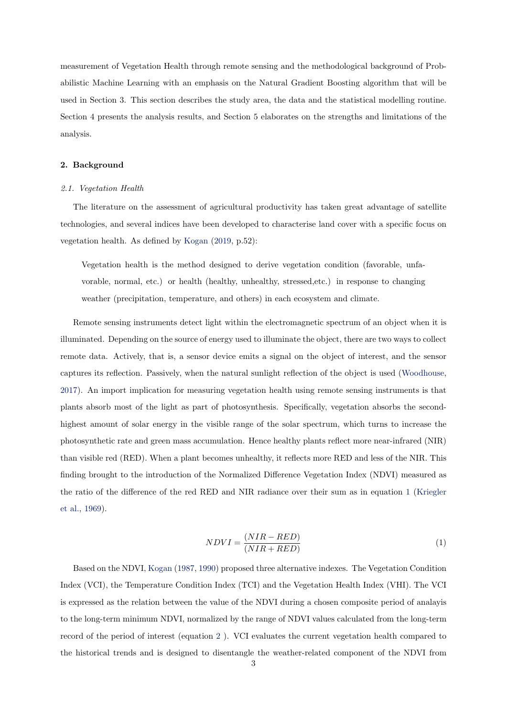measurement of Vegetation Health through remote sensing and the methodological background of Probabilistic Machine Learning with an emphasis on the Natural Gradient Boosting algorithm that will be used in Section 3. This section describes the study area, the data and the statistical modelling routine. Section 4 presents the analysis results, and Section 5 elaborates on the strengths and limitations of the analysis.

# 2. Background

#### 2.1. Vegetation Health

The literature on the assessment of agricultural productivity has taken great advantage of satellite technologies, and several indices have been developed to characterise land cover with a specific focus on vegetation health. As defined by Kogan (2019, p.52):

Vegetation health is the method designed to derive vegetation condition (favorable, unfavorable, normal, etc.) or health (healthy, unhealthy, stressed, etc.) in response to changing weather (precipitation, temperature, and others) in each ecosystem and climate.

Remote sensing instruments detect light within the electromagnetic spectrum of an object when it is illuminated. Depending on the source of energy used to illuminate the object, there are two ways to collect remote data. Actively, that is, a sensor device emits a signal on the object of interest, and the sensor captures its reflection. Passively, when the natural sunlight reflection of the object is used (Woodhouse, 2017). An import implication for measuring vegetation health using remote sensing instruments is that plants absorb most of the light as part of photosynthesis. Specifically, vegetation absorbs the secondhighest amount of solar energy in the visible range of the solar spectrum, which turns to increase the photosynthetic rate and green mass accumulation. Hence healthy plants reflect more near-infrared (NIR) than visible red (RED). When a plant becomes unhealthy, it reflects more RED and less of the NIR. This finding brought to the introduction of the Normalized Difference Vegetation Index (NDVI) measured as the ratio of the difference of the red RED and NIR radiance over their sum as in equation 1 (Kriegler et al., 1969).

$$
NDVI = \frac{(NIR - RED)}{(NIR + RED)}\tag{1}
$$

Based on the NDVI, Kogan (1987, 1990) proposed three alternative indexes. The Vegetation Condition Index (VCI), the Temperature Condition Index (TCI) and the Vegetation Health Index (VHI). The VCI is expressed as the relation between the value of the NDVI during a chosen composite period of analayis to the long-term minimum NDVI, normalized by the range of NDVI values calculated from the long-term record of the period of interest (equation 2 ). VCI evaluates the current vegetation health compared to the historical trends and is designed to disentangle the weather-related component of the NDVI from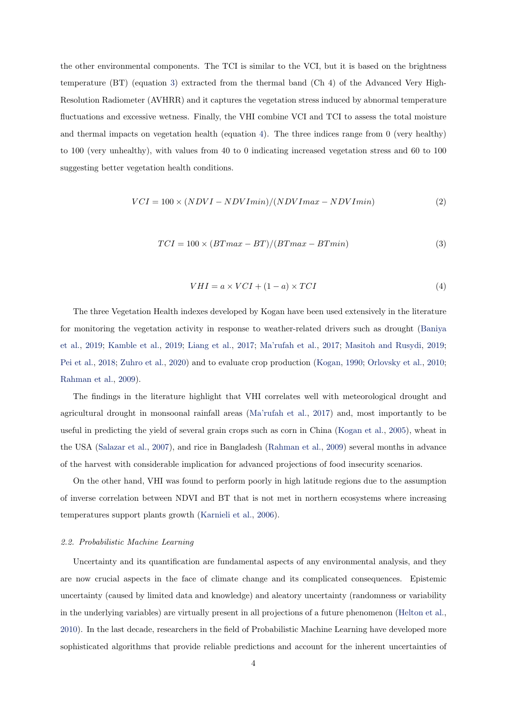the other environmental components. The TCI is similar to the VCI, but it is based on the brightness temperature (BT) (equation 3) extracted from the thermal band (Ch 4) of the Advanced Very High-Resolution Radiometer (AVHRR) and it captures the vegetation stress induced by abnormal temperature fluctuations and excessive wetness. Finally, the VHI combine VCI and TCI to assess the total moisture and thermal impacts on vegetation health (equation 4). The three indices range from 0 (very healthy) to 100 (very unhealthy), with values from 40 to 0 indicating increased vegetation stress and 60 to 100 suggesting better vegetation health conditions.

$$
VCI = 100 \times (NDVI - NDVImin)/(NDVImax - NDVImin)
$$
\n(2)

$$
TCI = 100 \times (BTmax - BT)/(BTmax - BTmin)
$$
\n(3)

$$
VHI = a \times VCI + (1 - a) \times TCI \tag{4}
$$

The three Vegetation Health indexes developed by Kogan have been used extensively in the literature for monitoring the vegetation activity in response to weather-related drivers such as drought (Baniya et al., 2019; Kamble et al., 2019; Liang et al., 2017; Ma'rufah et al., 2017; Masitoh and Rusydi, 2019; Pei et al., 2018; Zuhro et al., 2020) and to evaluate crop production (Kogan, 1990; Orlovsky et al., 2010; Rahman et al., 2009).

The findings in the literature highlight that VHI correlates well with meteorological drought and agricultural drought in monsoonal rainfall areas (Ma'rufah et al., 2017) and, most importantly to be useful in predicting the yield of several grain crops such as corn in China (Kogan et al., 2005), wheat in the USA (Salazar et al., 2007), and rice in Bangladesh (Rahman et al., 2009) several months in advance of the harvest with considerable implication for advanced projections of food insecurity scenarios.

On the other hand, VHI was found to perform poorly in high latitude regions due to the assumption of inverse correlation between NDVI and BT that is not met in northern ecosystems where increasing temperatures support plants growth (Karnieli et al., 2006).

#### 2.2. Probabilistic Machine Learning

Uncertainty and its quantification are fundamental aspects of any environmental analysis, and they are now crucial aspects in the face of climate change and its complicated consequences. Epistemic uncertainty (caused by limited data and knowledge) and aleatory uncertainty (randomness or variability in the underlying variables) are virtually present in all projections of a future phenomenon (Helton et al., 2010). In the last decade, researchers in the field of Probabilistic Machine Learning have developed more sophisticated algorithms that provide reliable predictions and account for the inherent uncertainties of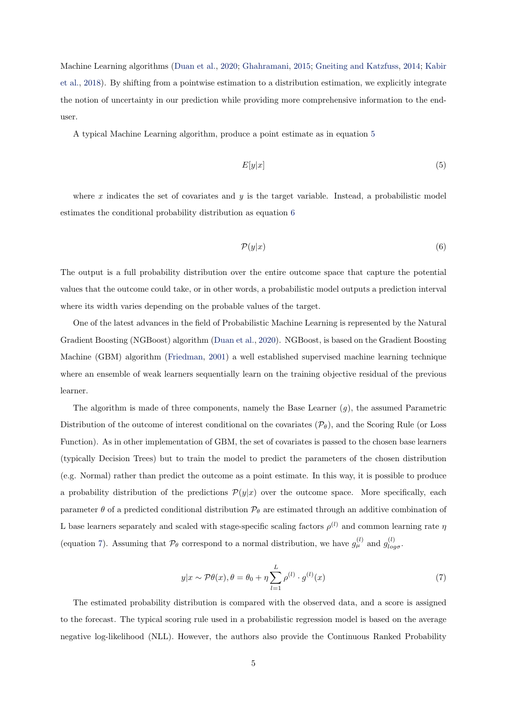Machine Learning algorithms (Duan et al., 2020; Ghahramani, 2015; Gneiting and Katzfuss, 2014; Kabir et al., 2018). By shifting from a pointwise estimation to a distribution estimation, we explicitly integrate the notion of uncertainty in our prediction while providing more comprehensive information to the enduser.

A typical Machine Learning algorithm, produce a point estimate as in equation 5

$$
E[y|x] \tag{5}
$$

where  $x$  indicates the set of covariates and  $y$  is the target variable. Instead, a probabilistic model estimates the conditional probability distribution as equation 6

$$
\mathcal{P}(y|x) \tag{6}
$$

The output is a full probability distribution over the entire outcome space that capture the potential values that the outcome could take, or in other words, a probabilistic model outputs a prediction interval where its width varies depending on the probable values of the target.

One of the latest advances in the field of Probabilistic Machine Learning is represented by the Natural Gradient Boosting (NGBoost) algorithm (Duan et al., 2020). NGBoost, is based on the Gradient Boosting Machine (GBM) algorithm (Friedman, 2001) a well established supervised machine learning technique where an ensemble of weak learners sequentially learn on the training objective residual of the previous learner.

The algorithm is made of three components, namely the Base Learner  $(q)$ , the assumed Parametric Distribution of the outcome of interest conditional on the covariates  $(\mathcal{P}_{\theta})$ , and the Scoring Rule (or Loss Function). As in other implementation of GBM, the set of covariates is passed to the chosen base learners (typically Decision Trees) but to train the model to predict the parameters of the chosen distribution (e.g. Normal) rather than predict the outcome as a point estimate. In this way, it is possible to produce a probability distribution of the predictions  $\mathcal{P}(y|x)$  over the outcome space. More specifically, each parameter  $\theta$  of a predicted conditional distribution  $\mathcal{P}_{\theta}$  are estimated through an additive combination of L base learners separately and scaled with stage-specific scaling factors  $\rho^{(l)}$  and common learning rate  $\eta$ (equation 7). Assuming that  $\mathcal{P}_{\theta}$  correspond to a normal distribution, we have  $g_{\mu}^{(l)}$  and  $g_{log\sigma}^{(l)}$ .

$$
y|x \sim \mathcal{P}\theta(x), \theta = \theta_0 + \eta \sum_{l=1}^{L} \rho^{(l)} \cdot g^{(l)}(x)
$$
\n
$$
(7)
$$

The estimated probability distribution is compared with the observed data, and a score is assigned to the forecast. The typical scoring rule used in a probabilistic regression model is based on the average negative log-likelihood (NLL). However, the authors also provide the Continuous Ranked Probability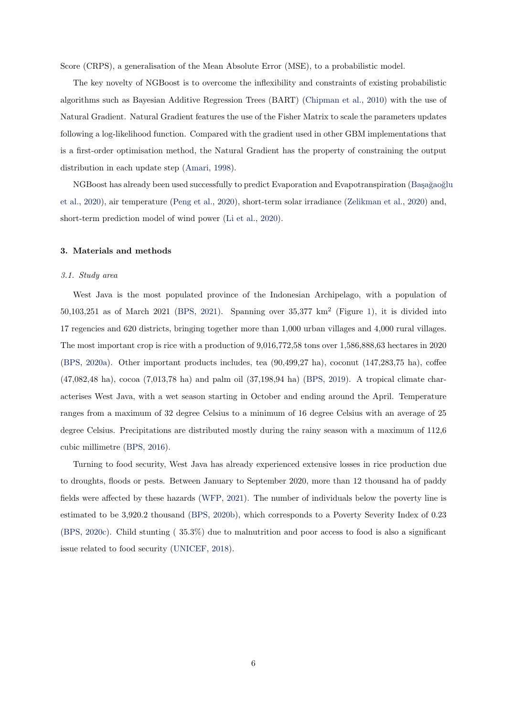Score (CRPS), a generalisation of the Mean Absolute Error (MSE), to a probabilistic model.

The key novelty of NGBoost is to overcome the inflexibility and constraints of existing probabilistic algorithms such as Bayesian Additive Regression Trees (BART) (Chipman et al., 2010) with the use of Natural Gradient. Natural Gradient features the use of the Fisher Matrix to scale the parameters updates following a log-likelihood function. Compared with the gradient used in other GBM implementations that is a first-order optimisation method, the Natural Gradient has the property of constraining the output distribution in each update step (Amari, 1998).

NGBoost has already been used successfully to predict Evaporation and Evapotranspiration (Başağaoğlu et al., 2020), air temperature (Peng et al., 2020), short-term solar irradiance (Zelikman et al., 2020) and, short-term prediction model of wind power (Li et al., 2020).

#### 3. Materials and methods

#### 3.1. Study area

West Java is the most populated province of the Indonesian Archipelago, with a population of  $50,103,251$  as of March 2021 (BPS, 2021). Spanning over  $35,377 \text{ km}^2$  (Figure 1), it is divided into 17 regencies and 620 districts, bringing together more than 1,000 urban villages and 4,000 rural villages. The most important crop is rice with a production of 9,016,772,58 tons over 1,586,888,63 hectares in 2020 (BPS, 2020a). Other important products includes, tea (90,499,27 ha), coconut (147,283,75 ha), coffee (47,082,48 ha), cocoa (7,013,78 ha) and palm oil (37,198,94 ha) (BPS, 2019). A tropical climate characterises West Java, with a wet season starting in October and ending around the April. Temperature ranges from a maximum of 32 degree Celsius to a minimum of 16 degree Celsius with an average of 25 degree Celsius. Precipitations are distributed mostly during the rainy season with a maximum of 112,6 cubic millimetre (BPS, 2016).

Turning to food security, West Java has already experienced extensive losses in rice production due to droughts, floods or pests. Between January to September 2020, more than 12 thousand ha of paddy fields were affected by these hazards (WFP, 2021). The number of individuals below the poverty line is estimated to be 3,920.2 thousand (BPS, 2020b), which corresponds to a Poverty Severity Index of 0.23 (BPS, 2020c). Child stunting ( 35.3%) due to malnutrition and poor access to food is also a significant issue related to food security (UNICEF, 2018).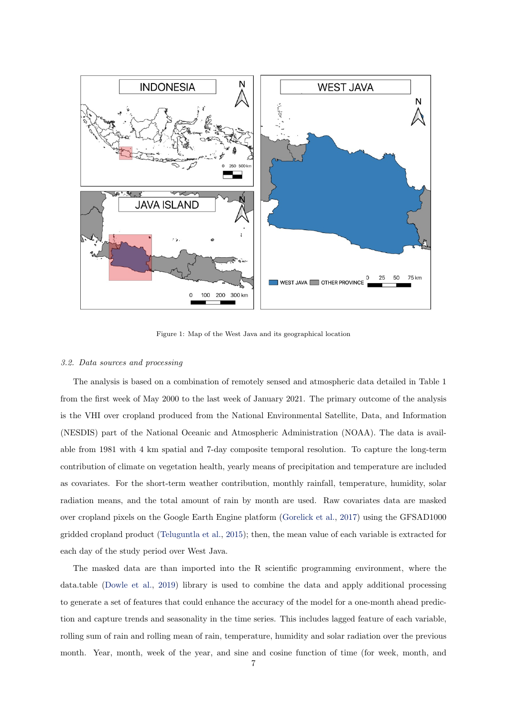

Figure 1: Map of the West Java and its geographical location

#### 3.2. Data sources and processing

The analysis is based on a combination of remotely sensed and atmospheric data detailed in Table 1 from the first week of May 2000 to the last week of January 2021. The primary outcome of the analysis is the VHI over cropland produced from the National Environmental Satellite, Data, and Information (NESDIS) part of the National Oceanic and Atmospheric Administration (NOAA). The data is available from 1981 with 4 km spatial and 7-day composite temporal resolution. To capture the long-term contribution of climate on vegetation health, yearly means of precipitation and temperature are included as covariates. For the short-term weather contribution, monthly rainfall, temperature, humidity, solar radiation means, and the total amount of rain by month are used. Raw covariates data are masked over cropland pixels on the Google Earth Engine platform (Gorelick et al., 2017) using the GFSAD1000 gridded cropland product (Teluguntla et al., 2015); then, the mean value of each variable is extracted for each day of the study period over West Java.

The masked data are than imported into the R scientific programming environment, where the data.table (Dowle et al., 2019) library is used to combine the data and apply additional processing to generate a set of features that could enhance the accuracy of the model for a one-month ahead prediction and capture trends and seasonality in the time series. This includes lagged feature of each variable, rolling sum of rain and rolling mean of rain, temperature, humidity and solar radiation over the previous month. Year, month, week of the year, and sine and cosine function of time (for week, month, and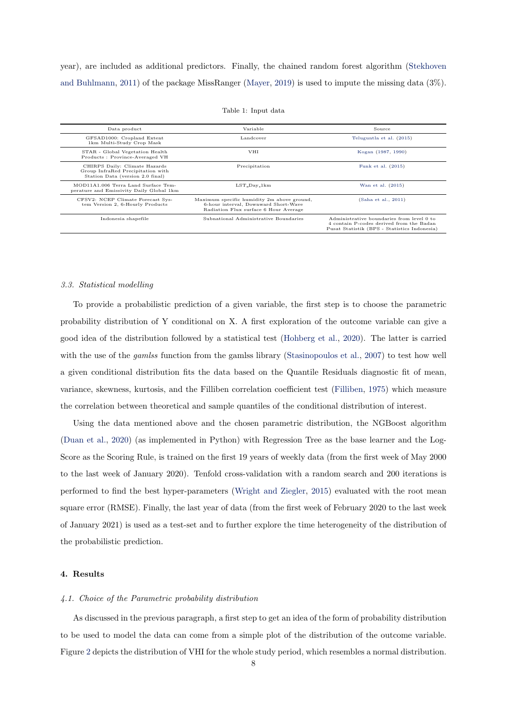year), are included as additional predictors. Finally, the chained random forest algorithm (Stekhoven and Buhlmann, 2011) of the package MissRanger (Mayer, 2019) is used to impute the missing data (3%).

| Data product                                                                                           | Variable<br>Source                                                                                                          |                                                                                                                                       |  |
|--------------------------------------------------------------------------------------------------------|-----------------------------------------------------------------------------------------------------------------------------|---------------------------------------------------------------------------------------------------------------------------------------|--|
| GFSAD1000: Cropland Extent<br>1km Multi-Study Crop Mask                                                | Landcover<br>Teluguntla et al. (2015)                                                                                       |                                                                                                                                       |  |
| STAR - Global Vegetation Health<br>Products: Province-Averaged VH                                      | <b>VHI</b>                                                                                                                  | Kogan (1987, 1990)                                                                                                                    |  |
| CHIRPS Daily: Climate Hazards<br>Group InfraRed Precipitation with<br>Station Data (version 2.0 final) | Precipitation                                                                                                               | Funk et al. (2015)                                                                                                                    |  |
| MOD11A1.006 Terra Land Surface Tem-<br>perature and Emissivity Daily Global 1km                        | $LST_Day_1km$                                                                                                               | Wan et al. (2015)                                                                                                                     |  |
| CFSV2: NCEP Climate Forecast Sys-<br>tem Version 2, 6-Hourly Products                                  | Maximum specific humidity 2m above ground,<br>6-hour interval, Downward Short-Wave<br>Radiation Flux surface 6 Hour Average | (Saha et al., 2011)                                                                                                                   |  |
| Indonesia shapefile                                                                                    | Subnational Administrative Boundaries                                                                                       | Administrative boundaries from level 0 to<br>4 contain P-codes derived from the Badan<br>Pusat Statistik (BPS - Statistics Indonesia) |  |

#### Table 1: Input data

#### 3.3. Statistical modelling

To provide a probabilistic prediction of a given variable, the first step is to choose the parametric probability distribution of Y conditional on X. A first exploration of the outcome variable can give a good idea of the distribution followed by a statistical test (Hohberg et al., 2020). The latter is carried with the use of the *gamlss* function from the gamlss library (Stasinopoulos et al., 2007) to test how well a given conditional distribution fits the data based on the Quantile Residuals diagnostic fit of mean, variance, skewness, kurtosis, and the Filliben correlation coefficient test (Filliben, 1975) which measure the correlation between theoretical and sample quantiles of the conditional distribution of interest.

Using the data mentioned above and the chosen parametric distribution, the NGBoost algorithm (Duan et al., 2020) (as implemented in Python) with Regression Tree as the base learner and the Log-Score as the Scoring Rule, is trained on the first 19 years of weekly data (from the first week of May 2000 to the last week of January 2020). Tenfold cross-validation with a random search and 200 iterations is performed to find the best hyper-parameters (Wright and Ziegler, 2015) evaluated with the root mean square error (RMSE). Finally, the last year of data (from the first week of February 2020 to the last week of January 2021) is used as a test-set and to further explore the time heterogeneity of the distribution of the probabilistic prediction.

#### 4. Results

#### 4.1. Choice of the Parametric probability distribution

As discussed in the previous paragraph, a first step to get an idea of the form of probability distribution to be used to model the data can come from a simple plot of the distribution of the outcome variable. Figure 2 depicts the distribution of VHI for the whole study period, which resembles a normal distribution.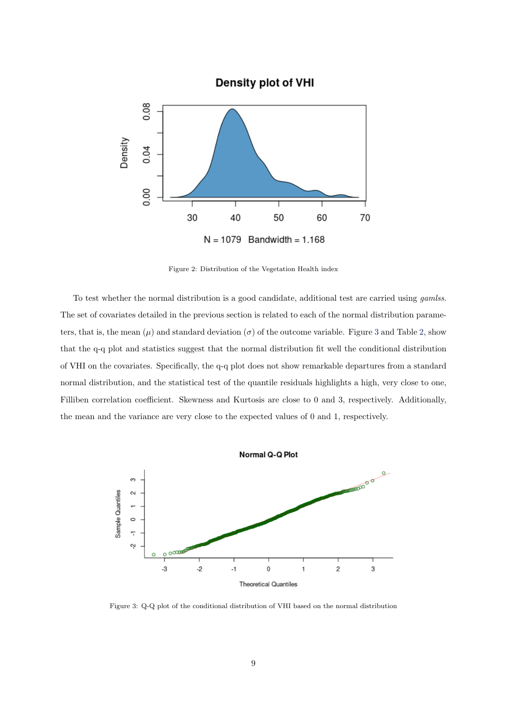

Figure 2: Distribution of the Vegetation Health index

To test whether the normal distribution is a good candidate, additional test are carried using *gamlss*. The set of covariates detailed in the previous section is related to each of the normal distribution parameters, that is, the mean  $(\mu)$  and standard deviation  $(\sigma)$  of the outcome variable. Figure 3 and Table 2, show that the q-q plot and statistics suggest that the normal distribution fit well the conditional distribution of VHI on the covariates. Specifically, the q-q plot does not show remarkable departures from a standard normal distribution, and the statistical test of the quantile residuals highlights a high, very close to one, Filliben correlation coefficient. Skewness and Kurtosis are close to 0 and 3, respectively. Additionally, the mean and the variance are very close to the expected values of 0 and 1, respectively.



Figure 3: Q-Q plot of the conditional distribution of VHI based on the normal distribution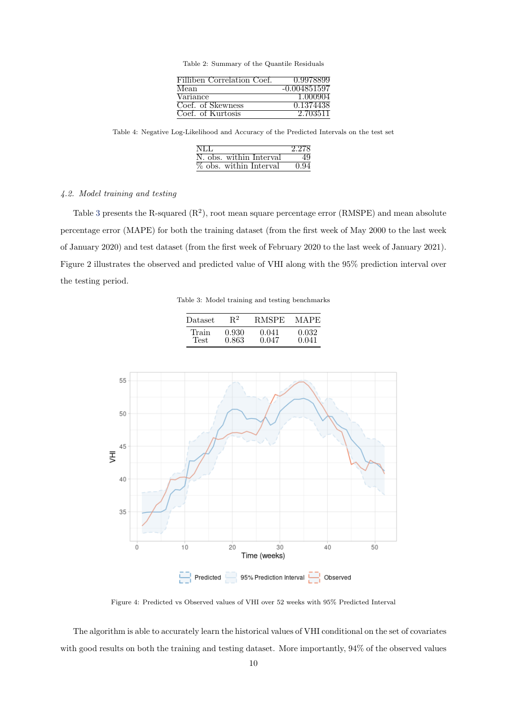Table 2: Summary of the Quantile Residuals

| Filliben Correlation Coef. | 0.9978899    |
|----------------------------|--------------|
| Mean                       | -0.004851597 |
| Variance                   | 1.000904     |
| Coef. of Skewness          | 0.1374438    |
| Coef. of Kurtosis          | 2.703511     |

Table 4: Negative Log-Likelihood and Accuracy of the Predicted Intervals on the test set

| NLL                     | 2.278 |
|-------------------------|-------|
| N. obs. within Interval | 49    |
| % obs. within Interval  | 0.94  |

## 4.2. Model training and testing

Table 3 presents the R-squared  $(R^2)$ , root mean square percentage error (RMSPE) and mean absolute percentage error (MAPE) for both the training dataset (from the first week of May 2000 to the last week of January 2020) and test dataset (from the first week of February 2020 to the last week of January 2021). Figure 2 illustrates the observed and predicted value of VHI along with the 95% prediction interval over the testing period.

Table 3: Model training and testing benchmarks

| Dataset | $\mathrm{R}^2$ | <b>RMSPE</b> | <b>MAPE</b> |
|---------|----------------|--------------|-------------|
| Train   | 0.930          | 0.041        | 0.032       |
| Test.   | 0.863          | 0.047        | 0.041       |



Figure 4: Predicted vs Observed values of VHI over 52 weeks with 95% Predicted Interval

The algorithm is able to accurately learn the historical values of VHI conditional on the set of covariates with good results on both the training and testing dataset. More importantly, 94% of the observed values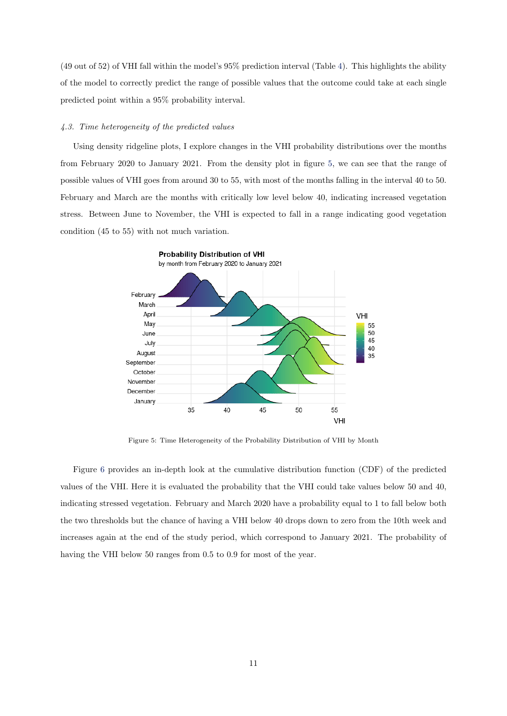(49 out of 52) of VHI fall within the model's 95% prediction interval (Table 4). This highlights the ability of the model to correctly predict the range of possible values that the outcome could take at each single predicted point within a 95% probability interval.

## 4.3. Time heterogeneity of the predicted values

Using density ridgeline plots, I explore changes in the VHI probability distributions over the months from February 2020 to January 2021. From the density plot in figure 5, we can see that the range of possible values of VHI goes from around 30 to 55, with most of the months falling in the interval 40 to 50. February and March are the months with critically low level below 40, indicating increased vegetation stress. Between June to November, the VHI is expected to fall in a range indicating good vegetation condition (45 to 55) with not much variation.



Figure 5: Time Heterogeneity of the Probability Distribution of VHI by Month

Figure 6 provides an in-depth look at the cumulative distribution function (CDF) of the predicted values of the VHI. Here it is evaluated the probability that the VHI could take values below 50 and 40, indicating stressed vegetation. February and March 2020 have a probability equal to 1 to fall below both the two thresholds but the chance of having a VHI below 40 drops down to zero from the 10th week and increases again at the end of the study period, which correspond to January 2021. The probability of having the VHI below 50 ranges from 0.5 to 0.9 for most of the year.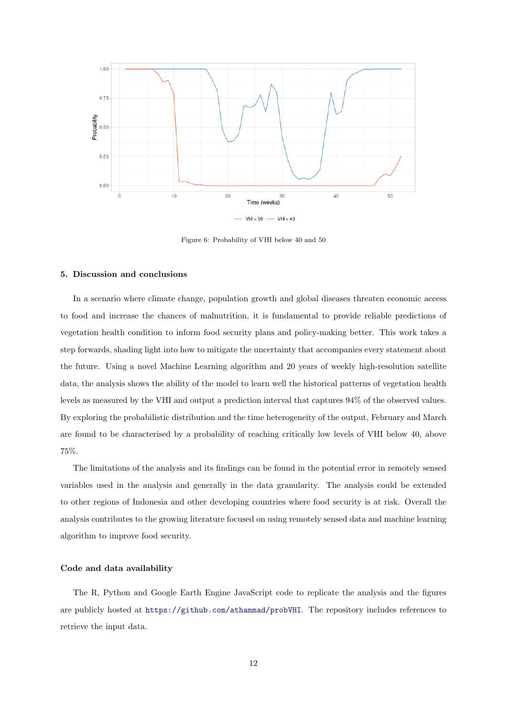

Figure 6: Probability of VHI below 40 and 50

#### 5. Discussion and conclusions

In a scenario where climate change, population growth and global diseases threaten economic access to food and increase the chances of malnutrition, it is fundamental to provide reliable predictions of vegetation health condition to inform food security plans and policy-making better. This work takes a step forwards, shading light into how to mitigate the uncertainty that accompanies every statement about the future. Using a novel Machine Learning algorithm and 20 years of weekly high-resolution satellite data, the analysis shows the ability of the model to learn well the historical patterns of vegetation health levels as measured by the VHI and output a prediction interval that captures 94% of the observed values. By exploring the probabilistic distribution and the time heterogeneity of the output, February and March are found to be characterised by a probability of reaching critically low levels of VHI below 40, above 75%.

The limitations of the analysis and its findings can be found in the potential error in remotely sensed variables used in the analysis and generally in the data granularity. The analysis could be extended to other regions of Indonesia and other developing countries where food security is at risk. Overall the analysis contributes to the growing literature focused on using remotely sensed data and machine learning algorithm to improve food security.

#### Code and data availability

The R, Python and Google Earth Engine JavaScript code to replicate the analysis and the figures are publicly hosted at <https://github.com/athammad/probVHI>. The repository includes references to retrieve the input data.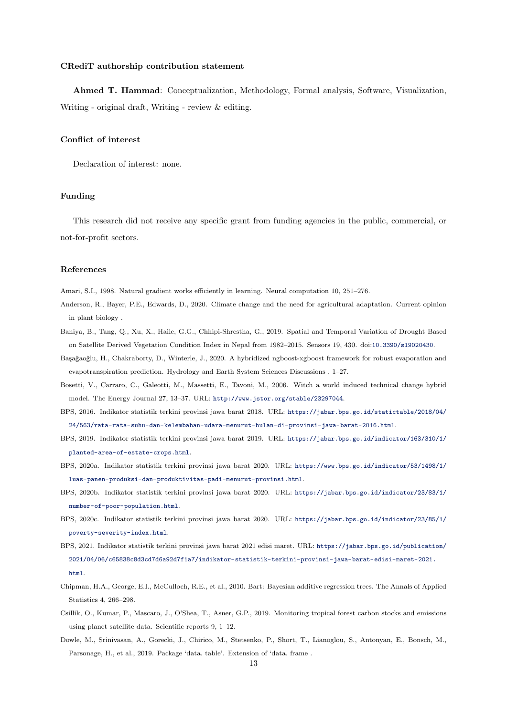#### CRediT authorship contribution statement

Ahmed T. Hammad: Conceptualization, Methodology, Formal analysis, Software, Visualization, Writing - original draft, Writing - review & editing.

## Conflict of interest

Declaration of interest: none.

#### Funding

This research did not receive any specific grant from funding agencies in the public, commercial, or not-for-profit sectors.

#### References

Amari, S.I., 1998. Natural gradient works efficiently in learning. Neural computation 10, 251–276.

- Anderson, R., Bayer, P.E., Edwards, D., 2020. Climate change and the need for agricultural adaptation. Current opinion in plant biology .
- Baniya, B., Tang, Q., Xu, X., Haile, G.G., Chhipi-Shrestha, G., 2019. Spatial and Temporal Variation of Drought Based on Satellite Derived Vegetation Condition Index in Nepal from 1982–2015. Sensors 19, 430. doi:[10.3390/s19020430](http://dx.doi.org/10.3390/s19020430).
- Başağaoğlu, H., Chakraborty, D., Winterle, J., 2020. A hybridized ngboost-xgboost framework for robust evaporation and evapotranspiration prediction. Hydrology and Earth System Sciences Discussions , 1–27.
- Bosetti, V., Carraro, C., Galeotti, M., Massetti, E., Tavoni, M., 2006. Witch a world induced technical change hybrid model. The Energy Journal 27, 13–37. URL: <http://www.jstor.org/stable/23297044>.
- BPS, 2016. Indikator statistik terkini provinsi jawa barat 2018. URL: [https://jabar.bps.go.id/statictable/2018/04/](https://jabar.bps.go.id/statictable/2018/04/24/563/rata-rata-suhu-dan-kelembaban-udara-menurut-bulan-di-provinsi-jawa-barat-2016.html) [24/563/rata-rata-suhu-dan-kelembaban-udara-menurut-bulan-di-provinsi-jawa-barat-2016.html](https://jabar.bps.go.id/statictable/2018/04/24/563/rata-rata-suhu-dan-kelembaban-udara-menurut-bulan-di-provinsi-jawa-barat-2016.html).
- BPS, 2019. Indikator statistik terkini provinsi jawa barat 2019. URL: [https://jabar.bps.go.id/indicator/163/310/1/](https://jabar.bps.go.id/indicator/163/310/1/planted-area-of-estate-crops.html) [planted-area-of-estate-crops.html](https://jabar.bps.go.id/indicator/163/310/1/planted-area-of-estate-crops.html).
- BPS, 2020a. Indikator statistik terkini provinsi jawa barat 2020. URL: [https://www.bps.go.id/indicator/53/1498/1/](https://www.bps.go.id/indicator/53/1498/1/luas-panen-produksi-dan-produktivitas-padi-menurut-provinsi.html) [luas-panen-produksi-dan-produktivitas-padi-menurut-provinsi.html](https://www.bps.go.id/indicator/53/1498/1/luas-panen-produksi-dan-produktivitas-padi-menurut-provinsi.html).
- BPS, 2020b. Indikator statistik terkini provinsi jawa barat 2020. URL: [https://jabar.bps.go.id/indicator/23/83/1/](https://jabar.bps.go.id/indicator/23/83/1/number-of-poor-population.html) [number-of-poor-population.html](https://jabar.bps.go.id/indicator/23/83/1/number-of-poor-population.html).
- BPS, 2020c. Indikator statistik terkini provinsi jawa barat 2020. URL: [https://jabar.bps.go.id/indicator/23/85/1/](https://jabar.bps.go.id/indicator/23/85/1/poverty-severity-index.html) [poverty-severity-index.html](https://jabar.bps.go.id/indicator/23/85/1/poverty-severity-index.html).
- BPS, 2021. Indikator statistik terkini provinsi jawa barat 2021 edisi maret. URL: [https://jabar.bps.go.id/publication/](https://jabar.bps.go.id/publication/2021/04/06/c65838c8d3cd7d6a92d7f1a7/indikator-statistik-terkini-provinsi-jawa-barat-edisi-maret-2021.html) [2021/04/06/c65838c8d3cd7d6a92d7f1a7/indikator-statistik-terkini-provinsi-jawa-barat-edisi-maret-2021.](https://jabar.bps.go.id/publication/2021/04/06/c65838c8d3cd7d6a92d7f1a7/indikator-statistik-terkini-provinsi-jawa-barat-edisi-maret-2021.html) [html](https://jabar.bps.go.id/publication/2021/04/06/c65838c8d3cd7d6a92d7f1a7/indikator-statistik-terkini-provinsi-jawa-barat-edisi-maret-2021.html).
- Chipman, H.A., George, E.I., McCulloch, R.E., et al., 2010. Bart: Bayesian additive regression trees. The Annals of Applied Statistics 4, 266–298.
- Csillik, O., Kumar, P., Mascaro, J., O'Shea, T., Asner, G.P., 2019. Monitoring tropical forest carbon stocks and emissions using planet satellite data. Scientific reports 9, 1–12.
- Dowle, M., Srinivasan, A., Gorecki, J., Chirico, M., Stetsenko, P., Short, T., Lianoglou, S., Antonyan, E., Bonsch, M., Parsonage, H., et al., 2019. Package 'data. table'. Extension of 'data. frame .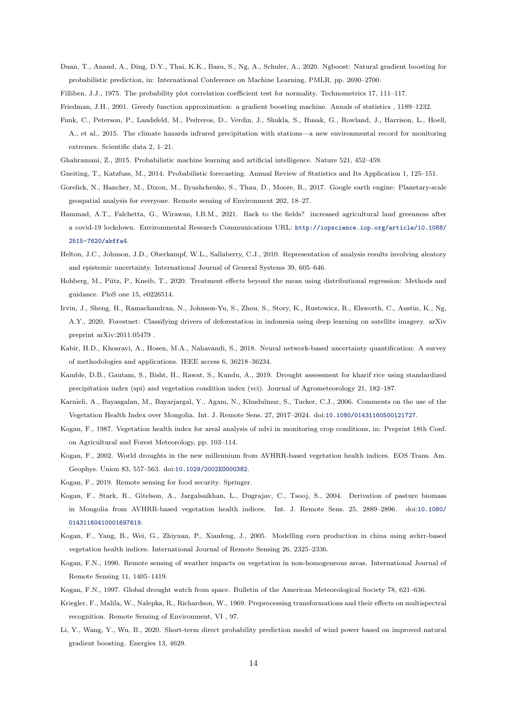- Duan, T., Anand, A., Ding, D.Y., Thai, K.K., Basu, S., Ng, A., Schuler, A., 2020. Ngboost: Natural gradient boosting for probabilistic prediction, in: International Conference on Machine Learning, PMLR. pp. 2690–2700.
- Filliben, J.J., 1975. The probability plot correlation coefficient test for normality. Technometrics 17, 111–117.
- Friedman, J.H., 2001. Greedy function approximation: a gradient boosting machine. Annals of statistics , 1189–1232.
- Funk, C., Peterson, P., Landsfeld, M., Pedreros, D., Verdin, J., Shukla, S., Husak, G., Rowland, J., Harrison, L., Hoell, A., et al., 2015. The climate hazards infrared precipitation with stations—a new environmental record for monitoring extremes. Scientific data 2, 1–21.
- Ghahramani, Z., 2015. Probabilistic machine learning and artificial intelligence. Nature 521, 452–459.
- Gneiting, T., Katzfuss, M., 2014. Probabilistic forecasting. Annual Review of Statistics and Its Application 1, 125–151.
- Gorelick, N., Hancher, M., Dixon, M., Ilyushchenko, S., Thau, D., Moore, R., 2017. Google earth engine: Planetary-scale geospatial analysis for everyone. Remote sensing of Environment 202, 18–27.
- Hammad, A.T., Falchetta, G., Wirawan, I.B.M., 2021. Back to the fields? increased agricultural land greenness after a covid-19 lockdown. Environmental Research Communications URL: [http://iopscience.iop.org/article/10.1088/](http://iopscience.iop.org/article/10.1088/2515-7620/abffa4) [2515-7620/abffa4](http://iopscience.iop.org/article/10.1088/2515-7620/abffa4).
- Helton, J.C., Johnson, J.D., Oberkampf, W.L., Sallaberry, C.J., 2010. Representation of analysis results involving aleatory and epistemic uncertainty. International Journal of General Systems 39, 605–646.
- Hohberg, M., Pütz, P., Kneib, T., 2020. Treatment effects beyond the mean using distributional regression: Methods and guidance. PloS one 15, e0226514.
- Irvin, J., Sheng, H., Ramachandran, N., Johnson-Yu, S., Zhou, S., Story, K., Rustowicz, R., Elsworth, C., Austin, K., Ng, A.Y., 2020. Forestnet: Classifying drivers of deforestation in indonesia using deep learning on satellite imagery. arXiv preprint arXiv:2011.05479 .
- Kabir, H.D., Khosravi, A., Hosen, M.A., Nahavandi, S., 2018. Neural network-based uncertainty quantification: A survey of methodologies and applications. IEEE access 6, 36218–36234.
- Kamble, D.B., Gautam, S., Bisht, H., Rawat, S., Kundu, A., 2019. Drought assessment for kharif rice using standardized precipitation index (spi) and vegetation condition index (vci). Journal of Agrometeorology 21, 182–187.
- Karnieli, A., Bayasgalan, M., Bayarjargal, Y., Agam, N., Khudulmur, S., Tucker, C.J., 2006. Comments on the use of the Vegetation Health Index over Mongolia. Int. J. Remote Sens. 27, 2017–2024. doi:[10.1080/01431160500121727](http://dx.doi.org/10.1080/01431160500121727).
- Kogan, F., 1987. Vegetation health index for areal analysis of ndvi in monitoring crop conditions, in: Preprint 18th Conf. on Agricultural and Forest Meteorology, pp. 103–114.
- Kogan, F., 2002. World droughts in the new millennium from AVHRR-based vegetation health indices. EOS Trans. Am. Geophys. Union 83, 557–563. doi:[10.1029/2002EO000382](http://dx.doi.org/10.1029/2002EO000382).
- Kogan, F., 2019. Remote sensing for food security. Springer.
- Kogan, F., Stark, R., Gitelson, A., Jargalsaikhan, L., Dugrajav, C., Tsooj, S., 2004. Derivation of pasture biomass in Mongolia from AVHRR-based vegetation health indices. Int. J. Remote Sens. 25, 2889–2896. doi:[10.1080/](http://dx.doi.org/10.1080/01431160410001697619) [01431160410001697619](http://dx.doi.org/10.1080/01431160410001697619).
- Kogan, F., Yang, B., Wei, G., Zhiyuan, P., Xianfeng, J., 2005. Modelling corn production in china using avhrr-based vegetation health indices. International Journal of Remote Sensing 26, 2325–2336.
- Kogan, F.N., 1990. Remote sensing of weather impacts on vegetation in non-homogeneous areas. International Journal of Remote Sensing 11, 1405–1419.
- Kogan, F.N., 1997. Global drought watch from space. Bulletin of the American Meteorological Society 78, 621–636.
- Kriegler, F., Malila, W., Nalepka, R., Richardson, W., 1969. Preprocessing transformations and their effects on multispectral recognition. Remote Sensing of Environment, VI , 97.
- Li, Y., Wang, Y., Wu, B., 2020. Short-term direct probability prediction model of wind power based on improved natural gradient boosting. Energies 13, 4629.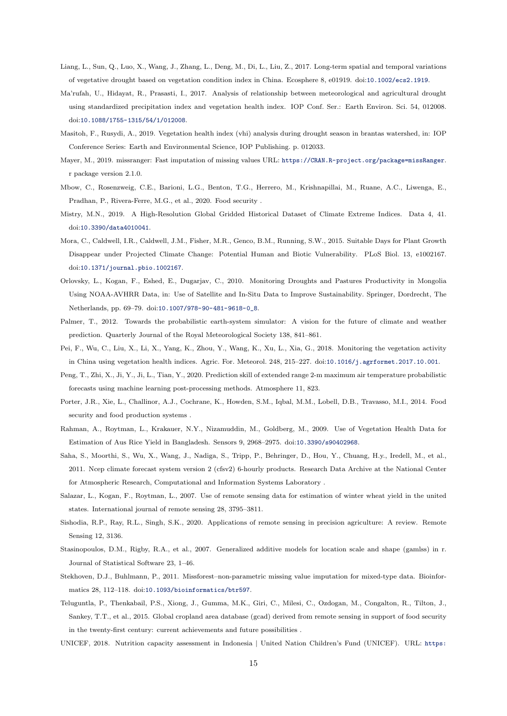- Liang, L., Sun, Q., Luo, X., Wang, J., Zhang, L., Deng, M., Di, L., Liu, Z., 2017. Long-term spatial and temporal variations of vegetative drought based on vegetation condition index in China. Ecosphere 8, e01919. doi:[10.1002/ecs2.1919](http://dx.doi.org/10.1002/ecs2.1919).
- Ma'rufah, U., Hidayat, R., Prasasti, I., 2017. Analysis of relationship between meteorological and agricultural drought using standardized precipitation index and vegetation health index. IOP Conf. Ser.: Earth Environ. Sci. 54, 012008. doi:[10.1088/1755-1315/54/1/012008](http://dx.doi.org/10.1088/1755-1315/54/1/012008).
- Masitoh, F., Rusydi, A., 2019. Vegetation health index (vhi) analysis during drought season in brantas watershed, in: IOP Conference Series: Earth and Environmental Science, IOP Publishing. p. 012033.
- Mayer, M., 2019. missranger: Fast imputation of missing values URL: <https://CRAN.R-project.org/package=missRanger>. r package version 2.1.0.
- Mbow, C., Rosenzweig, C.E., Barioni, L.G., Benton, T.G., Herrero, M., Krishnapillai, M., Ruane, A.C., Liwenga, E., Pradhan, P., Rivera-Ferre, M.G., et al., 2020. Food security .
- Mistry, M.N., 2019. A High-Resolution Global Gridded Historical Dataset of Climate Extreme Indices. Data 4, 41. doi:[10.3390/data4010041](http://dx.doi.org/10.3390/data4010041).
- Mora, C., Caldwell, I.R., Caldwell, J.M., Fisher, M.R., Genco, B.M., Running, S.W., 2015. Suitable Days for Plant Growth Disappear under Projected Climate Change: Potential Human and Biotic Vulnerability. PLoS Biol. 13, e1002167. doi:[10.1371/journal.pbio.1002167](http://dx.doi.org/10.1371/journal.pbio.1002167).
- Orlovsky, L., Kogan, F., Eshed, E., Dugarjav, C., 2010. Monitoring Droughts and Pastures Productivity in Mongolia Using NOAA-AVHRR Data, in: Use of Satellite and In-Situ Data to Improve Sustainability. Springer, Dordrecht, The Netherlands, pp. 69–79. doi:[10.1007/978-90-481-9618-0\\_8](http://dx.doi.org/10.1007/978-90-481-9618-0_8).
- Palmer, T., 2012. Towards the probabilistic earth-system simulator: A vision for the future of climate and weather prediction. Quarterly Journal of the Royal Meteorological Society 138, 841–861.
- Pei, F., Wu, C., Liu, X., Li, X., Yang, K., Zhou, Y., Wang, K., Xu, L., Xia, G., 2018. Monitoring the vegetation activity in China using vegetation health indices. Agric. For. Meteorol. 248, 215–227. doi:[10.1016/j.agrformet.2017.10.001](http://dx.doi.org/10.1016/j.agrformet.2017.10.001).
- Peng, T., Zhi, X., Ji, Y., Ji, L., Tian, Y., 2020. Prediction skill of extended range 2-m maximum air temperature probabilistic forecasts using machine learning post-processing methods. Atmosphere 11, 823.
- Porter, J.R., Xie, L., Challinor, A.J., Cochrane, K., Howden, S.M., Iqbal, M.M., Lobell, D.B., Travasso, M.I., 2014. Food security and food production systems .
- Rahman, A., Roytman, L., Krakauer, N.Y., Nizamuddin, M., Goldberg, M., 2009. Use of Vegetation Health Data for Estimation of Aus Rice Yield in Bangladesh. Sensors 9, 2968–2975. doi:[10.3390/s90402968](http://dx.doi.org/10.3390/s90402968).
- Saha, S., Moorthi, S., Wu, X., Wang, J., Nadiga, S., Tripp, P., Behringer, D., Hou, Y., Chuang, H.y., Iredell, M., et al., 2011. Ncep climate forecast system version 2 (cfsv2) 6-hourly products. Research Data Archive at the National Center for Atmospheric Research, Computational and Information Systems Laboratory .
- Salazar, L., Kogan, F., Roytman, L., 2007. Use of remote sensing data for estimation of winter wheat yield in the united states. International journal of remote sensing 28, 3795–3811.
- Sishodia, R.P., Ray, R.L., Singh, S.K., 2020. Applications of remote sensing in precision agriculture: A review. Remote Sensing 12, 3136.
- Stasinopoulos, D.M., Rigby, R.A., et al., 2007. Generalized additive models for location scale and shape (gamlss) in r. Journal of Statistical Software 23, 1–46.
- Stekhoven, D.J., Buhlmann, P., 2011. Missforest–non-parametric missing value imputation for mixed-type data. Bioinformatics 28, 112–118. doi:[10.1093/bioinformatics/btr597](http://dx.doi.org/10.1093/bioinformatics/btr597).
- Teluguntla, P., Thenkabail, P.S., Xiong, J., Gumma, M.K., Giri, C., Milesi, C., Ozdogan, M., Congalton, R., Tilton, J., Sankey, T.T., et al., 2015. Global cropland area database (gcad) derived from remote sensing in support of food security in the twenty-first century: current achievements and future possibilities .
- UNICEF, 2018. Nutrition capacity assessment in Indonesia | United Nation Children's Fund (UNICEF). URL: [https:](https://www.unicef.org/indonesia/reports/nutrition-capacity-assessment-indonesia)